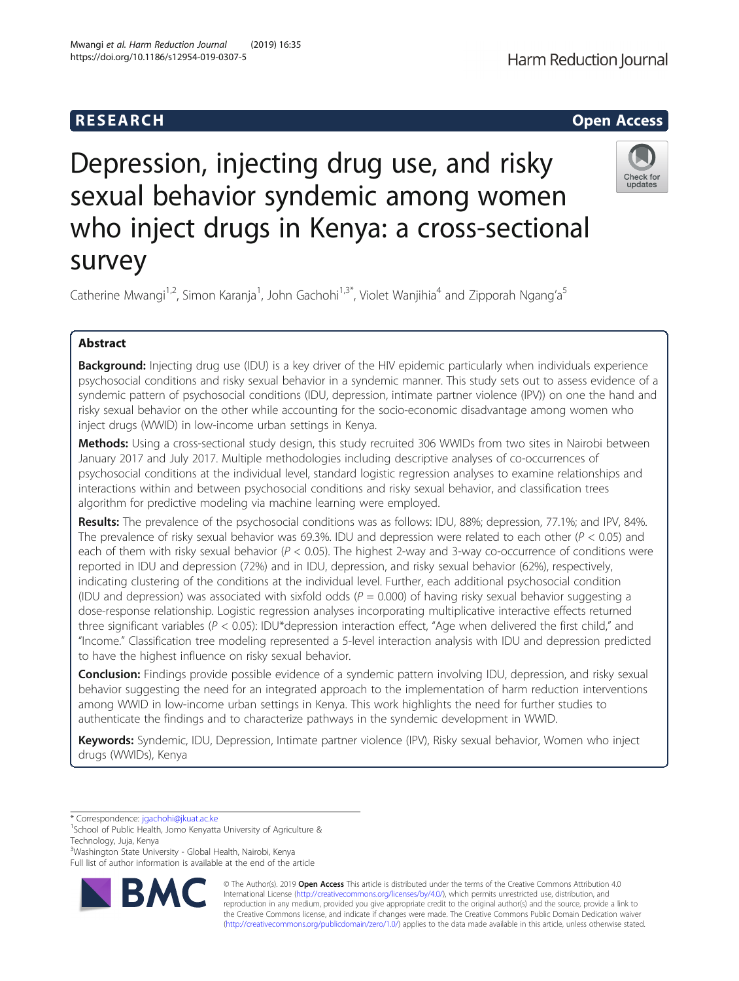# Depression, injecting drug use, and risky sexual behavior syndemic among women who inject drugs in Kenya: a cross-sectional survey

Catherine Mwangi<sup>1,2</sup>, Simon Karanja<sup>1</sup>, John Gachohi<sup>1,3\*</sup>, Violet Wanjihia<sup>4</sup> and Zipporah Ngang'a<sup>5</sup>

# Abstract

**Background:** Injecting drug use (IDU) is a key driver of the HIV epidemic particularly when individuals experience psychosocial conditions and risky sexual behavior in a syndemic manner. This study sets out to assess evidence of a syndemic pattern of psychosocial conditions (IDU, depression, intimate partner violence (IPV)) on one the hand and risky sexual behavior on the other while accounting for the socio-economic disadvantage among women who inject drugs (WWID) in low-income urban settings in Kenya.

Methods: Using a cross-sectional study design, this study recruited 306 WWIDs from two sites in Nairobi between January 2017 and July 2017. Multiple methodologies including descriptive analyses of co-occurrences of psychosocial conditions at the individual level, standard logistic regression analyses to examine relationships and interactions within and between psychosocial conditions and risky sexual behavior, and classification trees algorithm for predictive modeling via machine learning were employed.

Results: The prevalence of the psychosocial conditions was as follows: IDU, 88%; depression, 77.1%; and IPV, 84%. The prevalence of risky sexual behavior was 69.3%. IDU and depression were related to each other ( $P < 0.05$ ) and each of them with risky sexual behavior ( $P < 0.05$ ). The highest 2-way and 3-way co-occurrence of conditions were reported in IDU and depression (72%) and in IDU, depression, and risky sexual behavior (62%), respectively, indicating clustering of the conditions at the individual level. Further, each additional psychosocial condition (IDU and depression) was associated with sixfold odds ( $P = 0.000$ ) of having risky sexual behavior suggesting a dose-response relationship. Logistic regression analyses incorporating multiplicative interactive effects returned three significant variables ( $P < 0.05$ ): IDU\*depression interaction effect, "Age when delivered the first child," and "Income." Classification tree modeling represented a 5-level interaction analysis with IDU and depression predicted to have the highest influence on risky sexual behavior.

Conclusion: Findings provide possible evidence of a syndemic pattern involving IDU, depression, and risky sexual behavior suggesting the need for an integrated approach to the implementation of harm reduction interventions among WWID in low-income urban settings in Kenya. This work highlights the need for further studies to authenticate the findings and to characterize pathways in the syndemic development in WWID.

Keywords: Syndemic, IDU, Depression, Intimate partner violence (IPV), Risky sexual behavior, Women who inject drugs (WWIDs), Kenya

\* Correspondence: [jgachohi@jkuat.ac.ke](mailto:jgachohi@jkuat.ac.ke) <sup>1</sup>

<sup>1</sup>School of Public Health, Jomo Kenyatta University of Agriculture & Technology, Juja, Kenya

<sup>3</sup>Washington State University - Global Health, Nairobi, Kenya

RM)

Full list of author information is available at the end of the article

© The Author(s). 2019 **Open Access** This article is distributed under the terms of the Creative Commons Attribution 4.0 International License [\(http://creativecommons.org/licenses/by/4.0/](http://creativecommons.org/licenses/by/4.0/)), which permits unrestricted use, distribution, and reproduction in any medium, provided you give appropriate credit to the original author(s) and the source, provide a link to the Creative Commons license, and indicate if changes were made. The Creative Commons Public Domain Dedication waiver [\(http://creativecommons.org/publicdomain/zero/1.0/](http://creativecommons.org/publicdomain/zero/1.0/)) applies to the data made available in this article, unless otherwise stated.





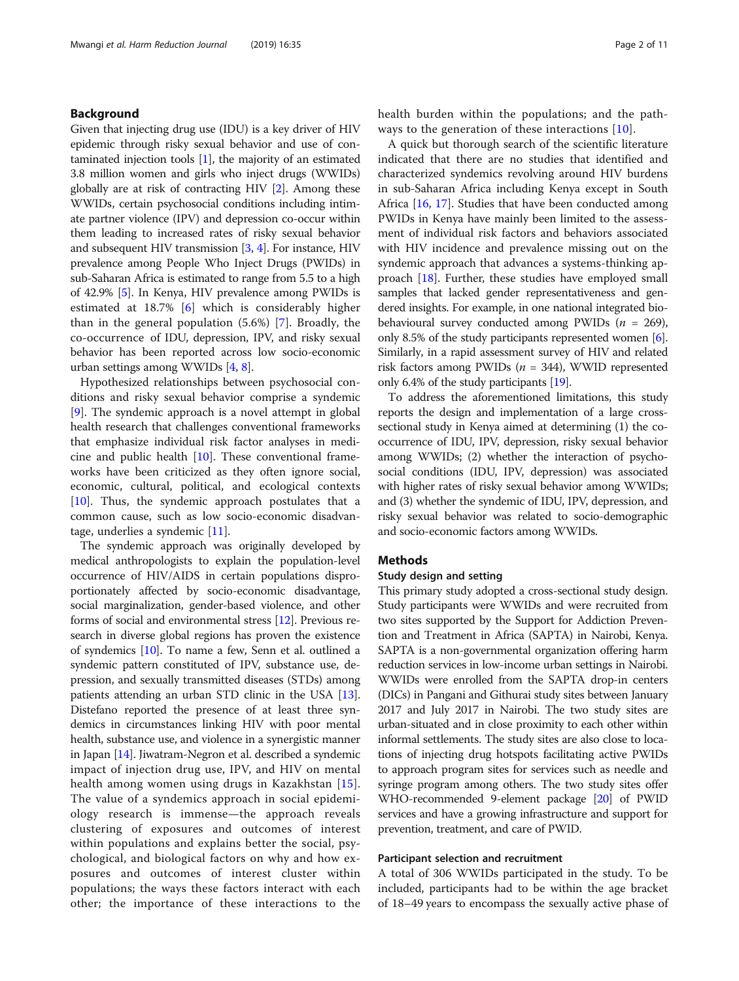# Background

Given that injecting drug use (IDU) is a key driver of HIV epidemic through risky sexual behavior and use of contaminated injection tools [\[1\]](#page-9-0), the majority of an estimated 3.8 million women and girls who inject drugs (WWIDs) globally are at risk of contracting HIV [\[2](#page-9-0)]. Among these WWIDs, certain psychosocial conditions including intimate partner violence (IPV) and depression co-occur within them leading to increased rates of risky sexual behavior and subsequent HIV transmission [[3](#page-9-0), [4\]](#page-9-0). For instance, HIV prevalence among People Who Inject Drugs (PWIDs) in sub-Saharan Africa is estimated to range from 5.5 to a high of 42.9% [\[5\]](#page-9-0). In Kenya, HIV prevalence among PWIDs is estimated at 18.7% [\[6](#page-9-0)] which is considerably higher than in the general population (5.6%) [[7\]](#page-9-0). Broadly, the co-occurrence of IDU, depression, IPV, and risky sexual behavior has been reported across low socio-economic urban settings among WWIDs [\[4,](#page-9-0) [8](#page-9-0)].

Hypothesized relationships between psychosocial conditions and risky sexual behavior comprise a syndemic [[9\]](#page-9-0). The syndemic approach is a novel attempt in global health research that challenges conventional frameworks that emphasize individual risk factor analyses in medicine and public health [[10\]](#page-9-0). These conventional frameworks have been criticized as they often ignore social, economic, cultural, political, and ecological contexts  $[10]$  $[10]$ . Thus, the syndemic approach postulates that a common cause, such as low socio-economic disadvantage, underlies a syndemic [[11](#page-9-0)].

The syndemic approach was originally developed by medical anthropologists to explain the population-level occurrence of HIV/AIDS in certain populations disproportionately affected by socio-economic disadvantage, social marginalization, gender-based violence, and other forms of social and environmental stress [[12](#page-9-0)]. Previous research in diverse global regions has proven the existence of syndemics [\[10\]](#page-9-0). To name a few, Senn et al. outlined a syndemic pattern constituted of IPV, substance use, depression, and sexually transmitted diseases (STDs) among patients attending an urban STD clinic in the USA [[13](#page-9-0)]. Distefano reported the presence of at least three syndemics in circumstances linking HIV with poor mental health, substance use, and violence in a synergistic manner in Japan [[14](#page-9-0)]. Jiwatram-Negron et al. described a syndemic impact of injection drug use, IPV, and HIV on mental health among women using drugs in Kazakhstan [[15](#page-9-0)]. The value of a syndemics approach in social epidemiology research is immense—the approach reveals clustering of exposures and outcomes of interest within populations and explains better the social, psychological, and biological factors on why and how exposures and outcomes of interest cluster within populations; the ways these factors interact with each other; the importance of these interactions to the health burden within the populations; and the pathways to the generation of these interactions [[10](#page-9-0)].

A quick but thorough search of the scientific literature indicated that there are no studies that identified and characterized syndemics revolving around HIV burdens in sub-Saharan Africa including Kenya except in South Africa [[16,](#page-9-0) [17\]](#page-9-0). Studies that have been conducted among PWIDs in Kenya have mainly been limited to the assessment of individual risk factors and behaviors associated with HIV incidence and prevalence missing out on the syndemic approach that advances a systems-thinking approach [[18\]](#page-9-0). Further, these studies have employed small samples that lacked gender representativeness and gendered insights. For example, in one national integrated biobehavioural survey conducted among PWIDs  $(n = 269)$ , only 8.5% of the study participants represented women [[6](#page-9-0)]. Similarly, in a rapid assessment survey of HIV and related risk factors among PWIDs ( $n = 344$ ), WWID represented only 6.4% of the study participants [\[19\]](#page-9-0).

To address the aforementioned limitations, this study reports the design and implementation of a large crosssectional study in Kenya aimed at determining (1) the cooccurrence of IDU, IPV, depression, risky sexual behavior among WWIDs; (2) whether the interaction of psychosocial conditions (IDU, IPV, depression) was associated with higher rates of risky sexual behavior among WWIDs; and (3) whether the syndemic of IDU, IPV, depression, and risky sexual behavior was related to socio-demographic and socio-economic factors among WWIDs.

# **Methods**

# Study design and setting

This primary study adopted a cross-sectional study design. Study participants were WWIDs and were recruited from two sites supported by the Support for Addiction Prevention and Treatment in Africa (SAPTA) in Nairobi, Kenya. SAPTA is a non-governmental organization offering harm reduction services in low-income urban settings in Nairobi. WWIDs were enrolled from the SAPTA drop-in centers (DICs) in Pangani and Githurai study sites between January 2017 and July 2017 in Nairobi. The two study sites are urban-situated and in close proximity to each other within informal settlements. The study sites are also close to locations of injecting drug hotspots facilitating active PWIDs to approach program sites for services such as needle and syringe program among others. The two study sites offer WHO-recommended 9-element package [\[20\]](#page-9-0) of PWID services and have a growing infrastructure and support for prevention, treatment, and care of PWID.

# Participant selection and recruitment

A total of 306 WWIDs participated in the study. To be included, participants had to be within the age bracket of 18–49 years to encompass the sexually active phase of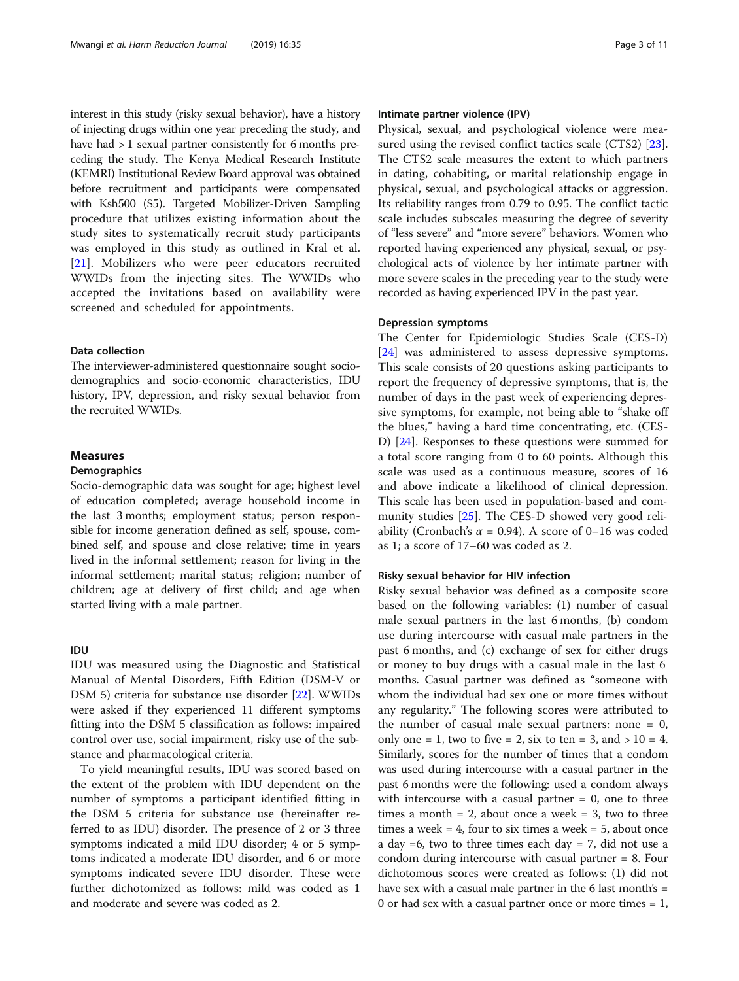interest in this study (risky sexual behavior), have a history of injecting drugs within one year preceding the study, and have had  $> 1$  sexual partner consistently for 6 months preceding the study. The Kenya Medical Research Institute (KEMRI) Institutional Review Board approval was obtained before recruitment and participants were compensated with Ksh500 (\$5). Targeted Mobilizer-Driven Sampling procedure that utilizes existing information about the study sites to systematically recruit study participants was employed in this study as outlined in Kral et al. [[21\]](#page-9-0). Mobilizers who were peer educators recruited WWIDs from the injecting sites. The WWIDs who accepted the invitations based on availability were screened and scheduled for appointments.

# Data collection

The interviewer-administered questionnaire sought sociodemographics and socio-economic characteristics, IDU history, IPV, depression, and risky sexual behavior from the recruited WWIDs.

# Measures

## **Demographics**

Socio-demographic data was sought for age; highest level of education completed; average household income in the last 3 months; employment status; person responsible for income generation defined as self, spouse, combined self, and spouse and close relative; time in years lived in the informal settlement; reason for living in the informal settlement; marital status; religion; number of children; age at delivery of first child; and age when started living with a male partner.

# IDU

IDU was measured using the Diagnostic and Statistical Manual of Mental Disorders, Fifth Edition (DSM-V or DSM 5) criteria for substance use disorder [\[22](#page-9-0)]. WWIDs were asked if they experienced 11 different symptoms fitting into the DSM 5 classification as follows: impaired control over use, social impairment, risky use of the substance and pharmacological criteria.

To yield meaningful results, IDU was scored based on the extent of the problem with IDU dependent on the number of symptoms a participant identified fitting in the DSM 5 criteria for substance use (hereinafter referred to as IDU) disorder. The presence of 2 or 3 three symptoms indicated a mild IDU disorder; 4 or 5 symptoms indicated a moderate IDU disorder, and 6 or more symptoms indicated severe IDU disorder. These were further dichotomized as follows: mild was coded as 1 and moderate and severe was coded as 2.

# Intimate partner violence (IPV)

Physical, sexual, and psychological violence were measured using the revised conflict tactics scale (CTS2) [\[23](#page-9-0)]. The CTS2 scale measures the extent to which partners in dating, cohabiting, or marital relationship engage in physical, sexual, and psychological attacks or aggression. Its reliability ranges from 0.79 to 0.95. The conflict tactic scale includes subscales measuring the degree of severity of "less severe" and "more severe" behaviors. Women who reported having experienced any physical, sexual, or psychological acts of violence by her intimate partner with more severe scales in the preceding year to the study were recorded as having experienced IPV in the past year.

## Depression symptoms

The Center for Epidemiologic Studies Scale (CES-D) [[24\]](#page-9-0) was administered to assess depressive symptoms. This scale consists of 20 questions asking participants to report the frequency of depressive symptoms, that is, the number of days in the past week of experiencing depressive symptoms, for example, not being able to "shake off the blues," having a hard time concentrating, etc. (CES-D) [[24\]](#page-9-0). Responses to these questions were summed for a total score ranging from 0 to 60 points. Although this scale was used as a continuous measure, scores of 16 and above indicate a likelihood of clinical depression. This scale has been used in population-based and community studies [\[25](#page-9-0)]. The CES-D showed very good reliability (Cronbach's  $\alpha$  = 0.94). A score of 0–16 was coded as 1; a score of 17–60 was coded as 2.

# Risky sexual behavior for HIV infection

Risky sexual behavior was defined as a composite score based on the following variables: (1) number of casual male sexual partners in the last 6 months, (b) condom use during intercourse with casual male partners in the past 6 months, and (c) exchange of sex for either drugs or money to buy drugs with a casual male in the last 6 months. Casual partner was defined as "someone with whom the individual had sex one or more times without any regularity." The following scores were attributed to the number of casual male sexual partners: none  $= 0$ , only one = 1, two to five = 2, six to ten = 3, and  $> 10 = 4$ . Similarly, scores for the number of times that a condom was used during intercourse with a casual partner in the past 6 months were the following: used a condom always with intercourse with a casual partner  $= 0$ , one to three times a month  $= 2$ , about once a week  $= 3$ , two to three times a week  $= 4$ , four to six times a week  $= 5$ , about once a day  $=6$ , two to three times each day  $= 7$ , did not use a condom during intercourse with casual partner = 8. Four dichotomous scores were created as follows: (1) did not have sex with a casual male partner in the 6 last month's = 0 or had sex with a casual partner once or more times = 1,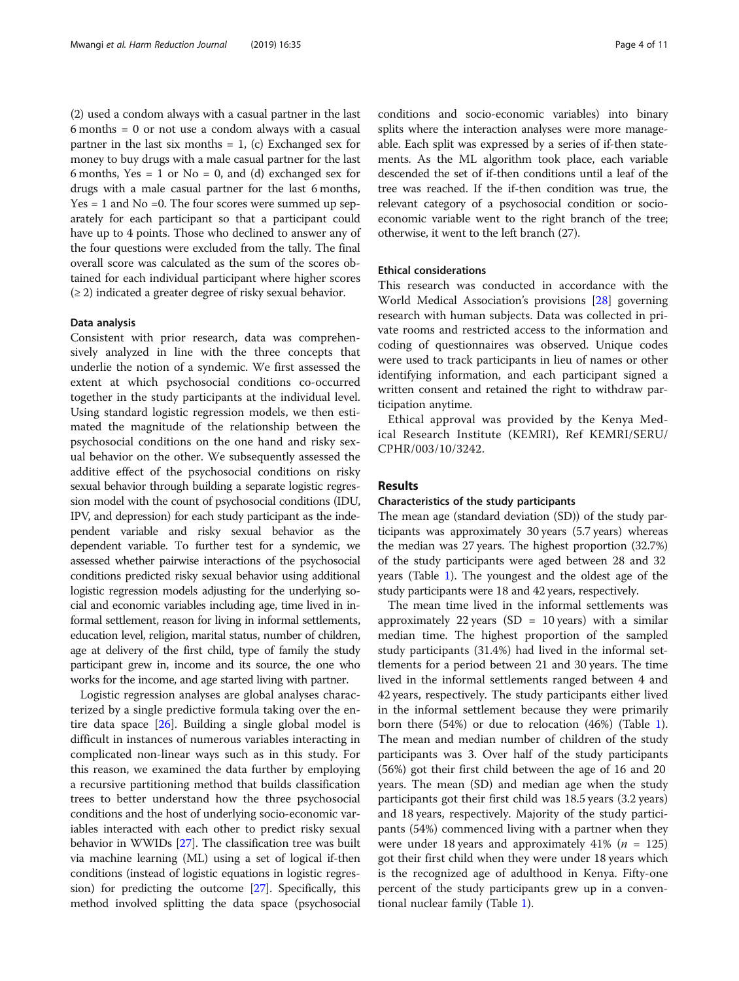(2) used a condom always with a casual partner in the last 6 months = 0 or not use a condom always with a casual partner in the last six months  $= 1$ , (c) Exchanged sex for money to buy drugs with a male casual partner for the last 6 months, Yes = 1 or  $No = 0$ , and (d) exchanged sex for drugs with a male casual partner for the last 6 months,  $Yes = 1$  and  $No = 0$ . The four scores were summed up separately for each participant so that a participant could have up to 4 points. Those who declined to answer any of the four questions were excluded from the tally. The final overall score was calculated as the sum of the scores obtained for each individual participant where higher scores  $(\geq 2)$  indicated a greater degree of risky sexual behavior.

# Data analysis

Consistent with prior research, data was comprehensively analyzed in line with the three concepts that underlie the notion of a syndemic. We first assessed the extent at which psychosocial conditions co-occurred together in the study participants at the individual level. Using standard logistic regression models, we then estimated the magnitude of the relationship between the psychosocial conditions on the one hand and risky sexual behavior on the other. We subsequently assessed the additive effect of the psychosocial conditions on risky sexual behavior through building a separate logistic regression model with the count of psychosocial conditions (IDU, IPV, and depression) for each study participant as the independent variable and risky sexual behavior as the dependent variable. To further test for a syndemic, we assessed whether pairwise interactions of the psychosocial conditions predicted risky sexual behavior using additional logistic regression models adjusting for the underlying social and economic variables including age, time lived in informal settlement, reason for living in informal settlements, education level, religion, marital status, number of children, age at delivery of the first child, type of family the study participant grew in, income and its source, the one who works for the income, and age started living with partner.

Logistic regression analyses are global analyses characterized by a single predictive formula taking over the entire data space [[26\]](#page-9-0). Building a single global model is difficult in instances of numerous variables interacting in complicated non-linear ways such as in this study. For this reason, we examined the data further by employing a recursive partitioning method that builds classification trees to better understand how the three psychosocial conditions and the host of underlying socio-economic variables interacted with each other to predict risky sexual behavior in WWIDs [[27](#page-9-0)]. The classification tree was built via machine learning (ML) using a set of logical if-then conditions (instead of logistic equations in logistic regression) for predicting the outcome [[27](#page-9-0)]. Specifically, this method involved splitting the data space (psychosocial

conditions and socio-economic variables) into binary splits where the interaction analyses were more manageable. Each split was expressed by a series of if-then statements. As the ML algorithm took place, each variable descended the set of if-then conditions until a leaf of the tree was reached. If the if-then condition was true, the relevant category of a psychosocial condition or socioeconomic variable went to the right branch of the tree; otherwise, it went to the left branch (27).

# Ethical considerations

This research was conducted in accordance with the World Medical Association's provisions [\[28](#page-9-0)] governing research with human subjects. Data was collected in private rooms and restricted access to the information and coding of questionnaires was observed. Unique codes were used to track participants in lieu of names or other identifying information, and each participant signed a written consent and retained the right to withdraw participation anytime.

Ethical approval was provided by the Kenya Medical Research Institute (KEMRI), Ref KEMRI/SERU/ CPHR/003/10/3242.

# Results

# Characteristics of the study participants

The mean age (standard deviation (SD)) of the study participants was approximately 30 years (5.7 years) whereas the median was 27 years. The highest proportion (32.7%) of the study participants were aged between 28 and 32 years (Table [1](#page-4-0)). The youngest and the oldest age of the study participants were 18 and 42 years, respectively.

The mean time lived in the informal settlements was approximately 22 years (SD =  $10$  years) with a similar median time. The highest proportion of the sampled study participants (31.4%) had lived in the informal settlements for a period between 21 and 30 years. The time lived in the informal settlements ranged between 4 and 42 years, respectively. The study participants either lived in the informal settlement because they were primarily born there (54%) or due to relocation (46%) (Table [1](#page-4-0)). The mean and median number of children of the study participants was 3. Over half of the study participants (56%) got their first child between the age of 16 and 20 years. The mean (SD) and median age when the study participants got their first child was 18.5 years (3.2 years) and 18 years, respectively. Majority of the study participants (54%) commenced living with a partner when they were under 18 years and approximately 41% ( $n = 125$ ) got their first child when they were under 18 years which is the recognized age of adulthood in Kenya. Fifty-one percent of the study participants grew up in a conventional nuclear family (Table [1](#page-4-0)).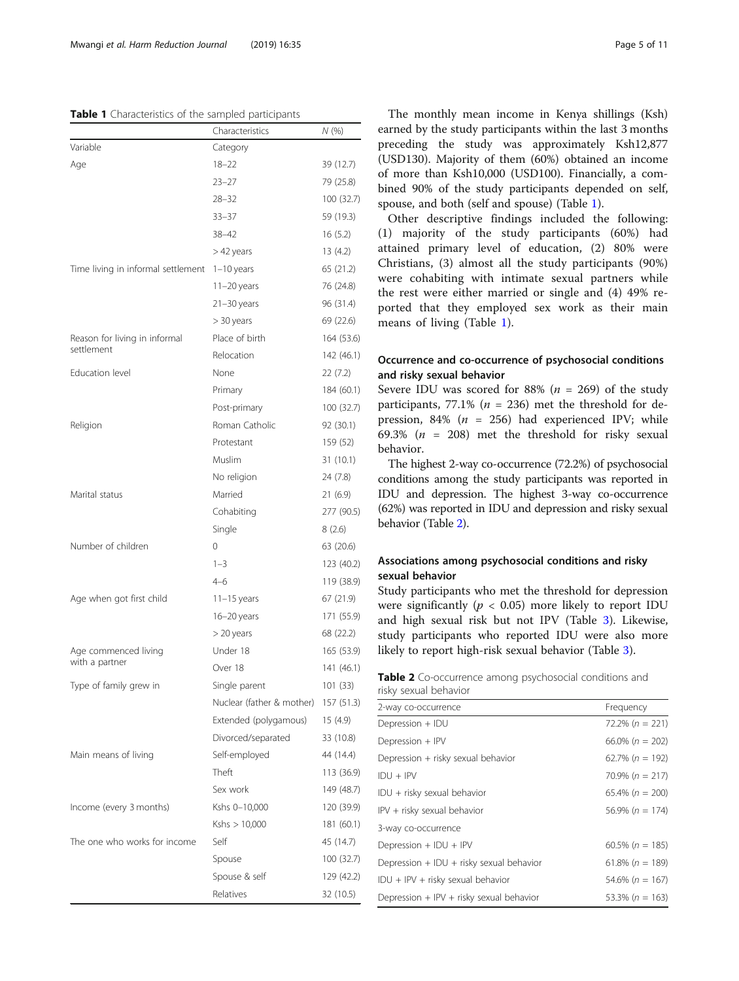# <span id="page-4-0"></span>Table 1 Characteristics of the sampled participants

|                                    | Characteristics           | N (%)      |
|------------------------------------|---------------------------|------------|
| Variable                           | Category                  |            |
| Age                                | $18 - 22$                 | 39 (12.7)  |
|                                    | $23 - 27$                 | 79 (25.8)  |
|                                    | $28 - 32$                 | 100 (32.7) |
|                                    | $33 - 37$                 | 59 (19.3)  |
|                                    | $38 - 42$                 | 16(5.2)    |
|                                    | > 42 years                | 13 (4.2)   |
| Time living in informal settlement | $1-10$ years              | 65 (21.2)  |
|                                    | $11-20$ years             | 76 (24.8)  |
|                                    | $21 - 30$ years           | 96 (31.4)  |
|                                    | > 30 years                | 69 (22.6)  |
| Reason for living in informal      | Place of birth            | 164 (53.6) |
| settlement                         | Relocation                | 142 (46.1) |
| Education level                    | None                      | 22(7.2)    |
|                                    | Primary                   | 184 (60.1) |
|                                    | Post-primary              | 100 (32.7) |
| Religion                           | Roman Catholic            | 92 (30.1)  |
|                                    | Protestant                | 159 (52)   |
|                                    | Muslim                    | 31(10.1)   |
|                                    | No religion               | 24 (7.8)   |
| Marital status                     | Married                   | 21 (6.9)   |
|                                    | Cohabiting                | 277 (90.5) |
|                                    | Single                    | 8(2.6)     |
| Number of children                 | 0                         | 63 (20.6)  |
|                                    | $1 - 3$                   | 123 (40.2) |
|                                    | $4 - 6$                   | 119 (38.9) |
| Age when got first child           | $11 - 15$ years           | 67 (21.9)  |
|                                    | $16 - 20$ years           | 171 (55.9) |
|                                    | > 20 years                | 68 (22.2)  |
| Age commenced living               | Under 18                  | 165 (53.9) |
| with a partner                     | Over 18                   | 141 (46.1) |
| Type of family grew in             | Single parent             | 101 (33)   |
|                                    | Nuclear (father & mother) | 157 (51.3) |
|                                    | Extended (polygamous)     | 15 (4.9)   |
|                                    | Divorced/separated        | 33 (10.8)  |
| Main means of living               | Self-employed             | 44 (14.4)  |
|                                    | Theft                     | 113 (36.9) |
|                                    | Sex work                  | 149 (48.7) |
| Income (every 3 months)            | Kshs 0-10,000             | 120 (39.9) |
|                                    | Kshs > 10,000             | 181 (60.1) |
| The one who works for income       | Self                      | 45 (14.7)  |
|                                    | Spouse                    | 100 (32.7) |
|                                    | Spouse & self             | 129 (42.2) |
|                                    | Relatives                 | 32 (10.5)  |

The monthly mean income in Kenya shillings (Ksh) earned by the study participants within the last 3 months preceding the study was approximately Ksh12,877 (USD130). Majority of them (60%) obtained an income of more than Ksh10,000 (USD100). Financially, a combined 90% of the study participants depended on self, spouse, and both (self and spouse) (Table 1).

Other descriptive findings included the following: (1) majority of the study participants (60%) had attained primary level of education, (2) 80% were Christians, (3) almost all the study participants (90%) were cohabiting with intimate sexual partners while the rest were either married or single and (4) 49% reported that they employed sex work as their main means of living (Table 1).

# Occurrence and co-occurrence of psychosocial conditions and risky sexual behavior

Severe IDU was scored for 88% ( $n = 269$ ) of the study participants, 77.1% ( $n = 236$ ) met the threshold for depression, 84% ( $n = 256$ ) had experienced IPV; while 69.3% ( $n = 208$ ) met the threshold for risky sexual behavior.

The highest 2-way co-occurrence (72.2%) of psychosocial conditions among the study participants was reported in IDU and depression. The highest 3-way co-occurrence (62%) was reported in IDU and depression and risky sexual behavior (Table 2).

# Associations among psychosocial conditions and risky sexual behavior

Study participants who met the threshold for depression were significantly ( $p < 0.05$ ) more likely to report IDU and high sexual risk but not IPV (Table [3](#page-5-0)). Likewise, study participants who reported IDU were also more likely to report high-risk sexual behavior (Table [3](#page-5-0)).

| Table 2 Co-occurrence among psychosocial conditions and |  |  |
|---------------------------------------------------------|--|--|
| risky sexual behavior                                   |  |  |

| 2-way co-occurrence                      | Frequency           |
|------------------------------------------|---------------------|
| Depression + IDU                         | $72.2\% (n = 221)$  |
| Depression + IPV                         | $66.0\%$ (n = 202)  |
| Depression + risky sexual behavior       | $62.7\% (n = 192)$  |
| $IDU + IPv$                              | $70.9\% (n = 217)$  |
| IDU + risky sexual behavior              | $65.4\% (n = 200)$  |
| IPV + risky sexual behavior              | $56.9\% (n = 174)$  |
| 3-way co-occurrence                      |                     |
| Depression $+$ IDU $+$ IPV               | $60.5\%$ (n = 185)  |
| Depression + IDU + risky sexual behavior | $61.8\% (n = 189)$  |
| IDU + IPV + risky sexual behavior        | $54.6\% (n = 167)$  |
| Depression + IPV + risky sexual behavior | 53.3% ( $n = 163$ ) |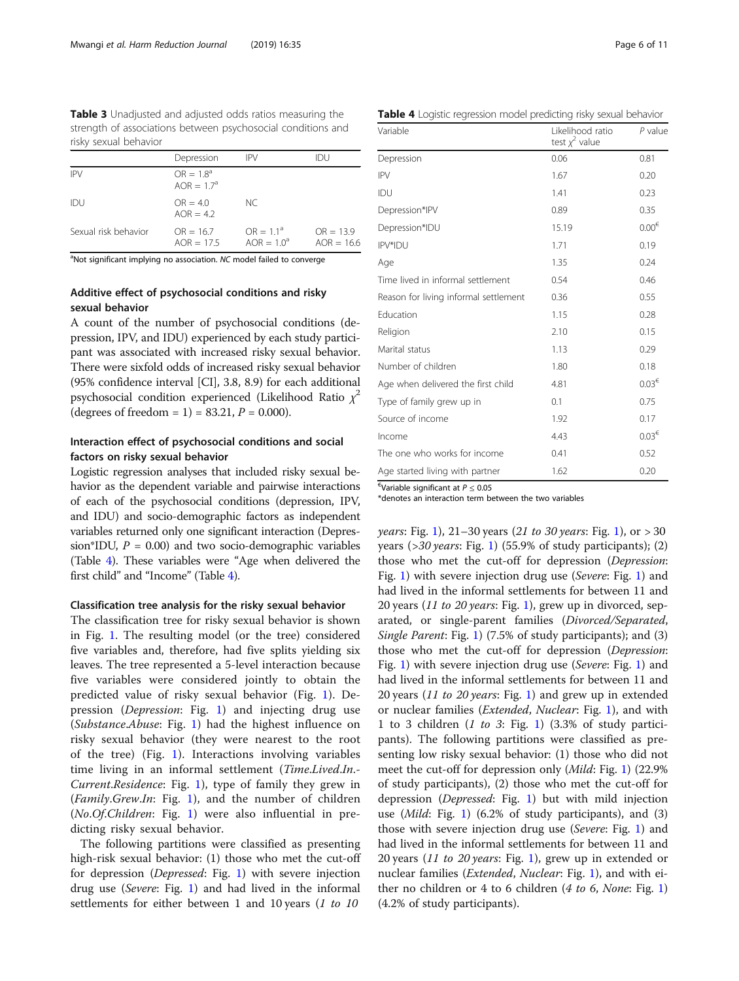<span id="page-5-0"></span>Table 3 Unadjusted and adjusted odds ratios measuring the strength of associations between psychosocial conditions and risky sexual behavior

|                      | Depression                   | <b>IPV</b>                    | IDU                         |
|----------------------|------------------------------|-------------------------------|-----------------------------|
| <b>IPV</b>           | $OR = 1.8^a$<br>$AOR = 1.7a$ |                               |                             |
| IDU                  | $OR = 4.0$<br>$AOR = 4.2$    | NC.                           |                             |
| Sexual risk behavior | $OR = 16.7$<br>$AOR = 17.5$  | $OR = 1.1^a$<br>$AOR = 1.0^a$ | $OR = 13.9$<br>$AOR = 16.6$ |

<sup>a</sup>Not significant implying no association. NC model failed to converge

# Additive effect of psychosocial conditions and risky sexual behavior

A count of the number of psychosocial conditions (depression, IPV, and IDU) experienced by each study participant was associated with increased risky sexual behavior. There were sixfold odds of increased risky sexual behavior (95% confidence interval [CI], 3.8, 8.9) for each additional psychosocial condition experienced (Likelihood Ratio  $\chi^2$ (degrees of freedom = 1) = 83.21,  $P = 0.000$ ).

# Interaction effect of psychosocial conditions and social factors on risky sexual behavior

Logistic regression analyses that included risky sexual behavior as the dependent variable and pairwise interactions of each of the psychosocial conditions (depression, IPV, and IDU) and socio-demographic factors as independent variables returned only one significant interaction (Depression\*IDU,  $P = 0.00$ ) and two socio-demographic variables (Table 4). These variables were "Age when delivered the first child" and "Income" (Table 4).

# Classification tree analysis for the risky sexual behavior

The classification tree for risky sexual behavior is shown in Fig. [1.](#page-6-0) The resulting model (or the tree) considered five variables and, therefore, had five splits yielding six leaves. The tree represented a 5-level interaction because five variables were considered jointly to obtain the predicted value of risky sexual behavior (Fig. [1\)](#page-6-0). Depression (Depression: Fig. [1](#page-6-0)) and injecting drug use (Substance.Abuse: Fig. [1](#page-6-0)) had the highest influence on risky sexual behavior (they were nearest to the root of the tree) (Fig. [1](#page-6-0)). Interactions involving variables time living in an informal settlement (Time.Lived.In.-Current.Residence: Fig. [1](#page-6-0)), type of family they grew in (*Family.Grew.In*: Fig. [1\)](#page-6-0), and the number of children (No.Of.Children: Fig. [1\)](#page-6-0) were also influential in predicting risky sexual behavior.

The following partitions were classified as presenting high-risk sexual behavior: (1) those who met the cut-off for depression (Depressed: Fig. [1](#page-6-0)) with severe injection drug use (Severe: Fig. [1](#page-6-0)) and had lived in the informal settlements for either between 1 and 10 years (1 to 10)

Table 4 Logistic regression model predicting risky sexual behavior

| Variable                              | Likelihood ratio<br>test $\chi^2$ value | P value           |
|---------------------------------------|-----------------------------------------|-------------------|
| Depression                            | 0.06                                    | 0.81              |
| <b>IPV</b>                            | 1.67                                    | 0.20              |
| IDU                                   | 1.41                                    | 0.23              |
| Depression*IPV                        | 0.89                                    | 0.35              |
| Depression*IDU                        | 15.19                                   | $0.00^{\epsilon}$ |
| IPV*IDU                               | 1.71                                    | 0.19              |
| Age                                   | 1.35                                    | 0.24              |
| Time lived in informal settlement     | 0.54                                    | 0.46              |
| Reason for living informal settlement | 0.36                                    | 0.55              |
| Education                             | 1.15                                    | 0.28              |
| Religion                              | 2.10                                    | 0.15              |
| Marital status                        | 1.13                                    | 0.29              |
| Number of children                    | 1.80                                    | 0.18              |
| Age when delivered the first child    | 4.81                                    | $0.03^{\epsilon}$ |
| Type of family grew up in             | 0.1                                     | 0.75              |
| Source of income                      | 1.92                                    | 0.17              |
| Income                                | 4.43                                    | $0.03^{\epsilon}$ |
| The one who works for income          | 0.41                                    | 0.52              |
| Age started living with partner       | 1.62                                    | 0.20              |

 $\epsilon$ Variable significant at  $P \leq 0.05$ 

\*denotes an interaction term between the two variables

*years*: Fig. [1](#page-6-0)), 21–30 years (21 to 30 years: Fig. [1\)](#page-6-0), or  $> 30$ years ( $>$ 30 years: Fig. [1](#page-6-0)) (55.9% of study participants); (2) those who met the cut-off for depression (Depression: Fig. [1](#page-6-0)) with severe injection drug use (Severe: Fig. [1](#page-6-0)) and had lived in the informal settlements for between 11 and 20 years (11 to 20 years: Fig. [1\)](#page-6-0), grew up in divorced, separated, or single-parent families (Divorced/Separated, Single Parent: Fig. [1](#page-6-0)) (7.5% of study participants); and (3) those who met the cut-off for depression (Depression: Fig. [1](#page-6-0)) with severe injection drug use (Severe: Fig. [1](#page-6-0)) and had lived in the informal settlements for between 11 and 20 years (11 to 20 years: Fig. [1\)](#page-6-0) and grew up in extended or nuclear families (Extended, Nuclear: Fig. [1](#page-6-0)), and with 1 to 3 children  $(1 \t to 3: Fig. 1)$  $(1 \t to 3: Fig. 1)$   $(3.3\% \t of study partici$ pants). The following partitions were classified as presenting low risky sexual behavior: (1) those who did not meet the cut-off for depression only (Mild: Fig. [1\)](#page-6-0) (22.9% of study participants), (2) those who met the cut-off for depression (Depressed: Fig. [1](#page-6-0)) but with mild injection use  $(Mild: Fig. 1)$  $(Mild: Fig. 1)$  $(Mild: Fig. 1)$  (6.2% of study participants), and (3) those with severe injection drug use (Severe: Fig. [1\)](#page-6-0) and had lived in the informal settlements for between 11 and 20 years (11 to 20 years: Fig. [1\)](#page-6-0), grew up in extended or nuclear families (*Extended, Nuclear*: Fig. [1\)](#page-6-0), and with either no children or 4 to 6 children  $(4 \text{ to } 6)$ , None: Fig. [1](#page-6-0)) (4.2% of study participants).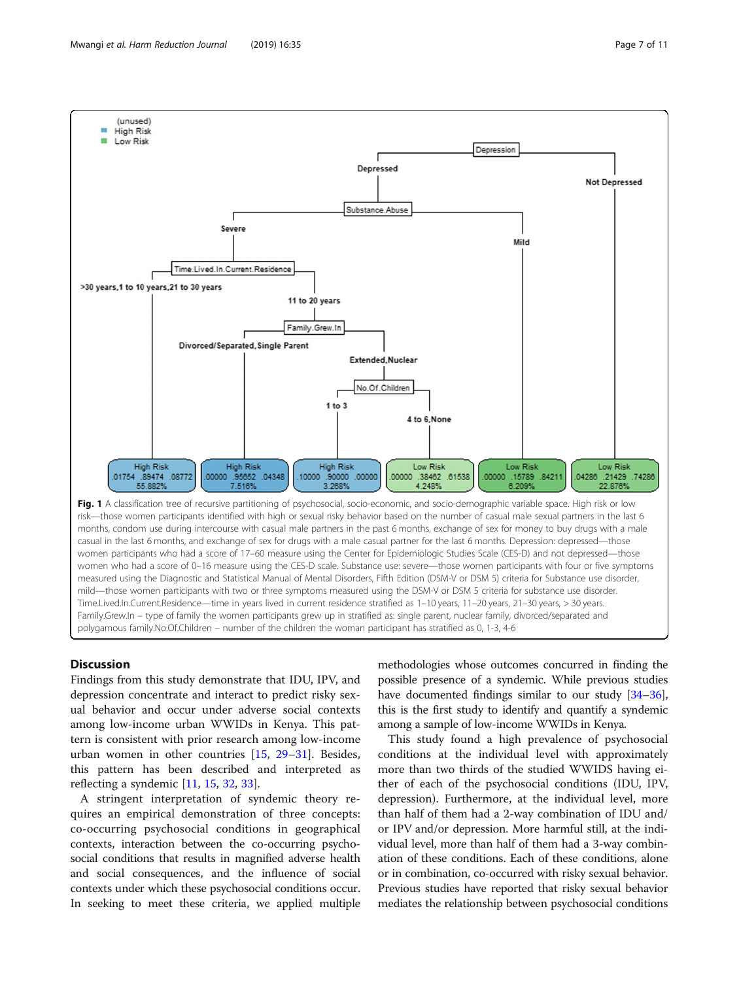Findings from this study demonstrate that IDU, IPV, and depression concentrate and interact to predict risky sexual behavior and occur under adverse social contexts among low-income urban WWIDs in Kenya. This pattern is consistent with prior research among low-income urban women in other countries [[15](#page-9-0), [29](#page-9-0)–[31](#page-9-0)]. Besides, this pattern has been described and interpreted as reflecting a syndemic  $[11, 15, 32, 33]$  $[11, 15, 32, 33]$  $[11, 15, 32, 33]$  $[11, 15, 32, 33]$  $[11, 15, 32, 33]$  $[11, 15, 32, 33]$  $[11, 15, 32, 33]$  $[11, 15, 32, 33]$  $[11, 15, 32, 33]$ .

Discussion

A stringent interpretation of syndemic theory requires an empirical demonstration of three concepts: co-occurring psychosocial conditions in geographical contexts, interaction between the co-occurring psychosocial conditions that results in magnified adverse health and social consequences, and the influence of social contexts under which these psychosocial conditions occur. In seeking to meet these criteria, we applied multiple methodologies whose outcomes concurred in finding the possible presence of a syndemic. While previous studies have documented findings similar to our study [\[34](#page-9-0)-[36](#page-9-0)], this is the first study to identify and quantify a syndemic among a sample of low-income WWIDs in Kenya.

This study found a high prevalence of psychosocial conditions at the individual level with approximately more than two thirds of the studied WWIDS having either of each of the psychosocial conditions (IDU, IPV, depression). Furthermore, at the individual level, more than half of them had a 2-way combination of IDU and/ or IPV and/or depression. More harmful still, at the individual level, more than half of them had a 3-way combination of these conditions. Each of these conditions, alone or in combination, co-occurred with risky sexual behavior. Previous studies have reported that risky sexual behavior mediates the relationship between psychosocial conditions

55.882% 7.518% 3.268% 4.248% 6.209% 22.876% Fig. 1 A classification tree of recursive partitioning of psychosocial, socio-economic, and socio-demographic variable space. High risk or low risk—those women participants identified with high or sexual risky behavior based on the number of casual male sexual partners in the last 6 months, condom use during intercourse with casual male partners in the past 6 months, exchange of sex for money to buy drugs with a male casual in the last 6 months, and exchange of sex for drugs with a male casual partner for the last 6 months. Depression: depressed—those women participants who had a score of 17–60 measure using the Center for Epidemiologic Studies Scale (CES-D) and not depressed—those measured using the Diagnostic and Statistical Manual of Mental Disorders, Fifth Edition (DSM-V or DSM 5) criteria for Substance use disorder, mild—those women participants with two or three symptoms measured using the DSM-V or DSM 5 criteria for substance use disorder. Time.Lived.In.Current.Residence—time in years lived in current residence stratified as 1–10 years, 11–20 years, 21–30 years, > 30 years. Family.Grew.In – type of family the women participants grew up in stratified as: single parent, nuclear family, divorced/separated and polygamous family.No.Of.Children – number of the children the woman participant has stratified as 0, 1-3, 4-6

<span id="page-6-0"></span>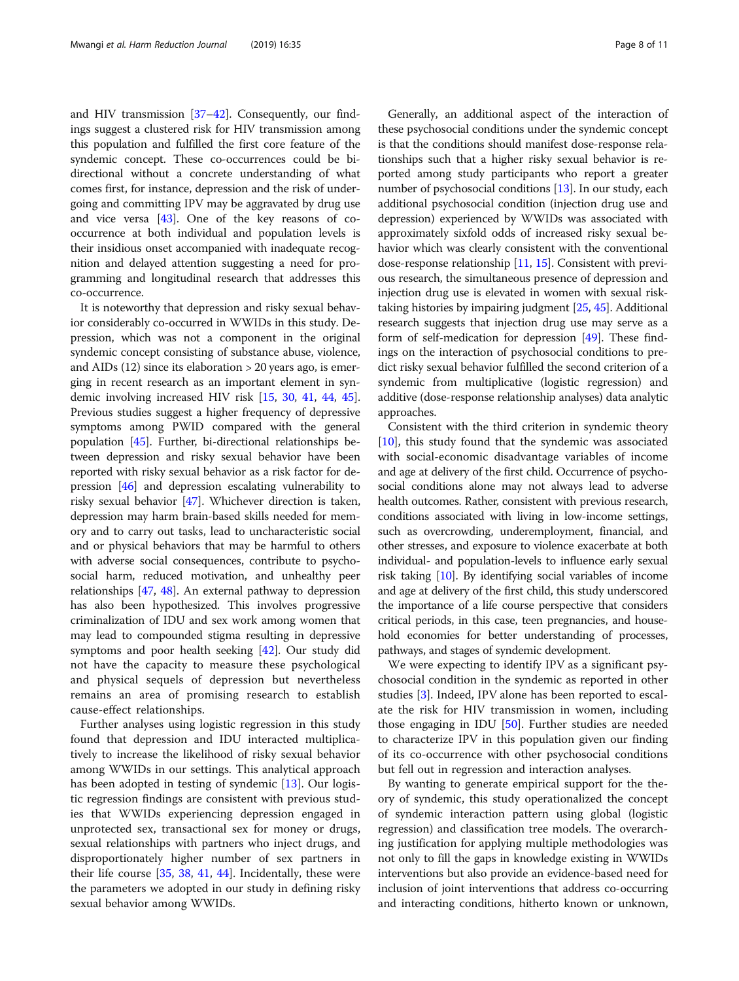and HIV transmission [\[37](#page-9-0)–[42\]](#page-10-0). Consequently, our findings suggest a clustered risk for HIV transmission among this population and fulfilled the first core feature of the syndemic concept. These co-occurrences could be bidirectional without a concrete understanding of what comes first, for instance, depression and the risk of undergoing and committing IPV may be aggravated by drug use and vice versa [\[43](#page-10-0)]. One of the key reasons of cooccurrence at both individual and population levels is their insidious onset accompanied with inadequate recognition and delayed attention suggesting a need for programming and longitudinal research that addresses this co-occurrence.

It is noteworthy that depression and risky sexual behavior considerably co-occurred in WWIDs in this study. Depression, which was not a component in the original syndemic concept consisting of substance abuse, violence, and AIDs (12) since its elaboration > 20 years ago, is emerging in recent research as an important element in syndemic involving increased HIV risk [[15](#page-9-0), [30](#page-9-0), [41](#page-10-0), [44](#page-10-0), [45](#page-10-0)]. Previous studies suggest a higher frequency of depressive symptoms among PWID compared with the general population [[45](#page-10-0)]. Further, bi-directional relationships between depression and risky sexual behavior have been reported with risky sexual behavior as a risk factor for depression [\[46\]](#page-10-0) and depression escalating vulnerability to risky sexual behavior [[47](#page-10-0)]. Whichever direction is taken, depression may harm brain-based skills needed for memory and to carry out tasks, lead to uncharacteristic social and or physical behaviors that may be harmful to others with adverse social consequences, contribute to psychosocial harm, reduced motivation, and unhealthy peer relationships [\[47,](#page-10-0) [48](#page-10-0)]. An external pathway to depression has also been hypothesized. This involves progressive criminalization of IDU and sex work among women that may lead to compounded stigma resulting in depressive symptoms and poor health seeking [\[42](#page-10-0)]. Our study did not have the capacity to measure these psychological and physical sequels of depression but nevertheless remains an area of promising research to establish cause-effect relationships.

Further analyses using logistic regression in this study found that depression and IDU interacted multiplicatively to increase the likelihood of risky sexual behavior among WWIDs in our settings. This analytical approach has been adopted in testing of syndemic [[13\]](#page-9-0). Our logistic regression findings are consistent with previous studies that WWIDs experiencing depression engaged in unprotected sex, transactional sex for money or drugs, sexual relationships with partners who inject drugs, and disproportionately higher number of sex partners in their life course [[35](#page-9-0), [38,](#page-9-0) [41](#page-10-0), [44\]](#page-10-0). Incidentally, these were the parameters we adopted in our study in defining risky sexual behavior among WWIDs.

Generally, an additional aspect of the interaction of these psychosocial conditions under the syndemic concept is that the conditions should manifest dose-response relationships such that a higher risky sexual behavior is reported among study participants who report a greater number of psychosocial conditions [\[13\]](#page-9-0). In our study, each additional psychosocial condition (injection drug use and depression) experienced by WWIDs was associated with approximately sixfold odds of increased risky sexual behavior which was clearly consistent with the conventional dose-response relationship [\[11,](#page-9-0) [15](#page-9-0)]. Consistent with previous research, the simultaneous presence of depression and injection drug use is elevated in women with sexual risktaking histories by impairing judgment [[25](#page-9-0), [45\]](#page-10-0). Additional research suggests that injection drug use may serve as a form of self-medication for depression [\[49\]](#page-10-0). These findings on the interaction of psychosocial conditions to predict risky sexual behavior fulfilled the second criterion of a syndemic from multiplicative (logistic regression) and additive (dose-response relationship analyses) data analytic approaches.

Consistent with the third criterion in syndemic theory [[10\]](#page-9-0), this study found that the syndemic was associated with social-economic disadvantage variables of income and age at delivery of the first child. Occurrence of psychosocial conditions alone may not always lead to adverse health outcomes. Rather, consistent with previous research, conditions associated with living in low-income settings, such as overcrowding, underemployment, financial, and other stresses, and exposure to violence exacerbate at both individual- and population-levels to influence early sexual risk taking [[10](#page-9-0)]. By identifying social variables of income and age at delivery of the first child, this study underscored the importance of a life course perspective that considers critical periods, in this case, teen pregnancies, and household economies for better understanding of processes, pathways, and stages of syndemic development.

We were expecting to identify IPV as a significant psychosocial condition in the syndemic as reported in other studies [\[3\]](#page-9-0). Indeed, IPV alone has been reported to escalate the risk for HIV transmission in women, including those engaging in IDU [\[50](#page-10-0)]. Further studies are needed to characterize IPV in this population given our finding of its co-occurrence with other psychosocial conditions but fell out in regression and interaction analyses.

By wanting to generate empirical support for the theory of syndemic, this study operationalized the concept of syndemic interaction pattern using global (logistic regression) and classification tree models. The overarching justification for applying multiple methodologies was not only to fill the gaps in knowledge existing in WWIDs interventions but also provide an evidence-based need for inclusion of joint interventions that address co-occurring and interacting conditions, hitherto known or unknown,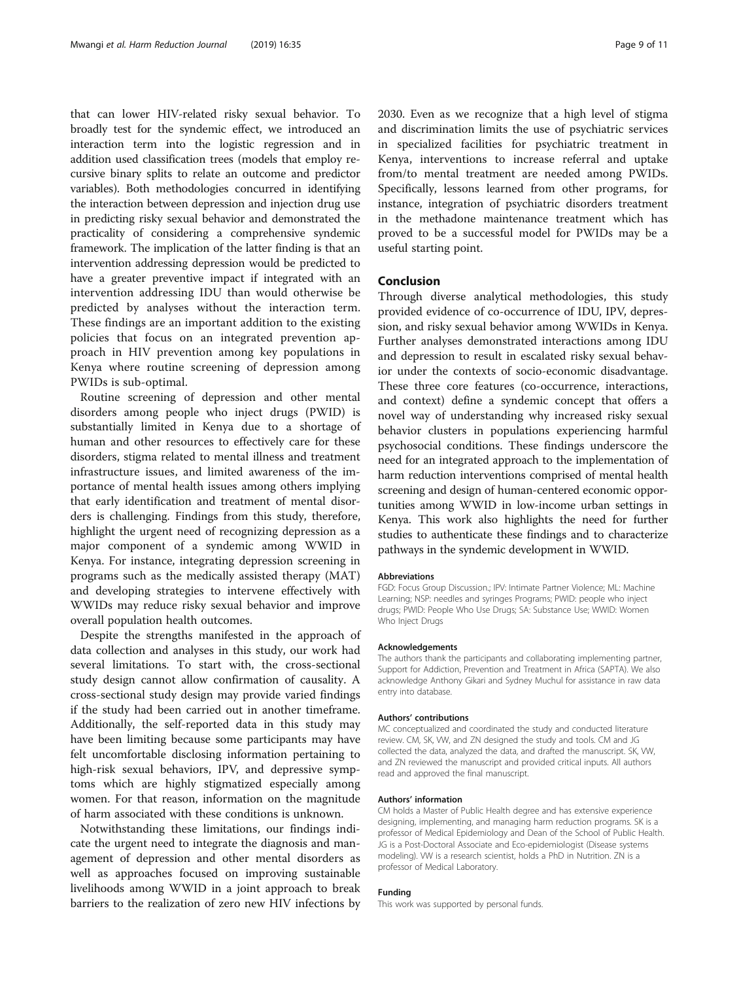that can lower HIV-related risky sexual behavior. To broadly test for the syndemic effect, we introduced an interaction term into the logistic regression and in addition used classification trees (models that employ recursive binary splits to relate an outcome and predictor variables). Both methodologies concurred in identifying the interaction between depression and injection drug use in predicting risky sexual behavior and demonstrated the practicality of considering a comprehensive syndemic framework. The implication of the latter finding is that an intervention addressing depression would be predicted to have a greater preventive impact if integrated with an intervention addressing IDU than would otherwise be predicted by analyses without the interaction term. These findings are an important addition to the existing policies that focus on an integrated prevention approach in HIV prevention among key populations in Kenya where routine screening of depression among PWIDs is sub-optimal.

Routine screening of depression and other mental disorders among people who inject drugs (PWID) is substantially limited in Kenya due to a shortage of human and other resources to effectively care for these disorders, stigma related to mental illness and treatment infrastructure issues, and limited awareness of the importance of mental health issues among others implying that early identification and treatment of mental disorders is challenging. Findings from this study, therefore, highlight the urgent need of recognizing depression as a major component of a syndemic among WWID in Kenya. For instance, integrating depression screening in programs such as the medically assisted therapy (MAT) and developing strategies to intervene effectively with WWIDs may reduce risky sexual behavior and improve overall population health outcomes.

Despite the strengths manifested in the approach of data collection and analyses in this study, our work had several limitations. To start with, the cross-sectional study design cannot allow confirmation of causality. A cross-sectional study design may provide varied findings if the study had been carried out in another timeframe. Additionally, the self-reported data in this study may have been limiting because some participants may have felt uncomfortable disclosing information pertaining to high-risk sexual behaviors, IPV, and depressive symptoms which are highly stigmatized especially among women. For that reason, information on the magnitude of harm associated with these conditions is unknown.

Notwithstanding these limitations, our findings indicate the urgent need to integrate the diagnosis and management of depression and other mental disorders as well as approaches focused on improving sustainable livelihoods among WWID in a joint approach to break barriers to the realization of zero new HIV infections by 2030. Even as we recognize that a high level of stigma and discrimination limits the use of psychiatric services in specialized facilities for psychiatric treatment in Kenya, interventions to increase referral and uptake from/to mental treatment are needed among PWIDs. Specifically, lessons learned from other programs, for instance, integration of psychiatric disorders treatment in the methadone maintenance treatment which has proved to be a successful model for PWIDs may be a useful starting point.

## Conclusion

Through diverse analytical methodologies, this study provided evidence of co-occurrence of IDU, IPV, depression, and risky sexual behavior among WWIDs in Kenya. Further analyses demonstrated interactions among IDU and depression to result in escalated risky sexual behavior under the contexts of socio-economic disadvantage. These three core features (co-occurrence, interactions, and context) define a syndemic concept that offers a novel way of understanding why increased risky sexual behavior clusters in populations experiencing harmful psychosocial conditions. These findings underscore the need for an integrated approach to the implementation of harm reduction interventions comprised of mental health screening and design of human-centered economic opportunities among WWID in low-income urban settings in Kenya. This work also highlights the need for further studies to authenticate these findings and to characterize pathways in the syndemic development in WWID.

#### Abbreviations

FGD: Focus Group Discussion.; IPV: Intimate Partner Violence; ML: Machine Learning; NSP: needles and syringes Programs; PWID: people who inject drugs; PWID: People Who Use Drugs; SA: Substance Use; WWID: Women Who Inject Drugs

#### Acknowledgements

The authors thank the participants and collaborating implementing partner, Support for Addiction, Prevention and Treatment in Africa (SAPTA). We also acknowledge Anthony Gikari and Sydney Muchul for assistance in raw data entry into database.

#### Authors' contributions

MC conceptualized and coordinated the study and conducted literature review. CM, SK, VW, and ZN designed the study and tools. CM and JG collected the data, analyzed the data, and drafted the manuscript. SK, VW, and ZN reviewed the manuscript and provided critical inputs. All authors read and approved the final manuscript.

#### Authors' information

CM holds a Master of Public Health degree and has extensive experience designing, implementing, and managing harm reduction programs. SK is a professor of Medical Epidemiology and Dean of the School of Public Health. JG is a Post-Doctoral Associate and Eco-epidemiologist (Disease systems modeling). VW is a research scientist, holds a PhD in Nutrition. ZN is a professor of Medical Laboratory.

### Funding

This work was supported by personal funds.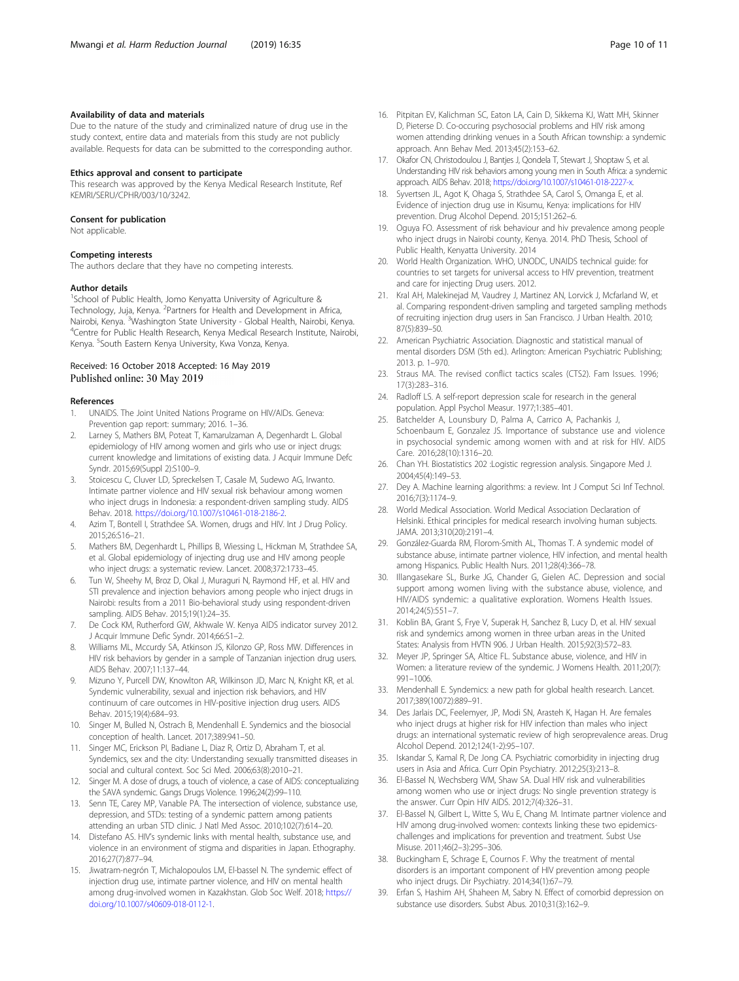# <span id="page-9-0"></span>Availability of data and materials

Due to the nature of the study and criminalized nature of drug use in the study context, entire data and materials from this study are not publicly available. Requests for data can be submitted to the corresponding author.

### Ethics approval and consent to participate

This research was approved by the Kenya Medical Research Institute, Ref KEMRI/SERU/CPHR/003/10/3242.

#### Consent for publication

Not applicable.

## Competing interests

The authors declare that they have no competing interests.

#### Author details

<sup>1</sup>School of Public Health, Jomo Kenyatta University of Agriculture & Technology, Juja, Kenya. <sup>2</sup>Partners for Health and Development in Africa, Nairobi, Kenya. <sup>3</sup>Washington State University - Global Health, Nairobi, Kenya.<br><sup>4</sup>Contre for Public Hoalth Besoarch, Kenya Medical Besoarch Instituto. Nairob <sup>4</sup>Centre for Public Health Research, Kenya Medical Research Institute, Nairobi, Kenya. <sup>5</sup>South Eastern Kenya University, Kwa Vonza, Kenya.

# Received: 16 October 2018 Accepted: 16 May 2019 Published online: 30 May 2019

#### References

- 1. UNAIDS. The Joint United Nations Programe on HIV/AIDs. Geneva: Prevention gap report: summary; 2016. 1–36.
- 2. Larney S, Mathers BM, Poteat T, Kamarulzaman A, Degenhardt L. Global epidemiology of HIV among women and girls who use or inject drugs: current knowledge and limitations of existing data. J Acquir Immune Defc Syndr. 2015;69(Suppl 2):S100–9.
- 3. Stoicescu C, Cluver LD, Spreckelsen T, Casale M, Sudewo AG, Irwanto. Intimate partner violence and HIV sexual risk behaviour among women who inject drugs in Indonesia: a respondent-driven sampling study. AIDS Behav. 2018. [https://doi.org/10.1007/s10461-018-2186-2.](https://doi.org/10.1007/s10461-018-2186-2)
- 4. Azim T, Bontell I, Strathdee SA. Women, drugs and HIV. Int J Drug Policy. 2015;26:S16–21.
- 5. Mathers BM, Degenhardt L, Phillips B, Wiessing L, Hickman M, Strathdee SA, et al. Global epidemiology of injecting drug use and HIV among people who inject drugs: a systematic review. Lancet. 2008;372:1733–45.
- 6. Tun W, Sheehy M, Broz D, Okal J, Muraguri N, Raymond HF, et al. HIV and STI prevalence and injection behaviors among people who inject drugs in Nairobi: results from a 2011 Bio-behavioral study using respondent-driven sampling. AIDS Behav. 2015;19(1):24–35.
- 7. De Cock KM, Rutherford GW, Akhwale W. Kenya AIDS indicator survey 2012. J Acquir Immune Defic Syndr. 2014;66:S1–2.
- 8. Williams ML, Mccurdy SA, Atkinson JS, Kilonzo GP, Ross MW. Differences in HIV risk behaviors by gender in a sample of Tanzanian injection drug users. AIDS Behav. 2007;11:137–44.
- Mizuno Y, Purcell DW, Knowlton AR, Wilkinson JD, Marc N, Knight KR, et al. Syndemic vulnerability, sexual and injection risk behaviors, and HIV continuum of care outcomes in HIV-positive injection drug users. AIDS Behav. 2015;19(4):684–93.
- 10. Singer M, Bulled N, Ostrach B, Mendenhall E. Syndemics and the biosocial conception of health. Lancet. 2017;389:941–50.
- 11. Singer MC, Erickson PI, Badiane L, Diaz R, Ortiz D, Abraham T, et al. Syndemics, sex and the city: Understanding sexually transmitted diseases in social and cultural context. Soc Sci Med. 2006;63(8):2010–21.
- 12. Singer M. A dose of drugs, a touch of violence, a case of AIDS: conceptualizing the SAVA syndemic. Gangs Drugs Violence. 1996;24(2):99–110.
- 13. Senn TE, Carey MP, Vanable PA. The intersection of violence, substance use, depression, and STDs: testing of a syndemic pattern among patients attending an urban STD clinic. J Natl Med Assoc. 2010;102(7):614–20.
- 14. Distefano AS. HIV's syndemic links with mental health, substance use, and violence in an environment of stigma and disparities in Japan. Ethography. 2016;27(7):877–94.
- 15. Jiwatram-negrón T, Michalopoulos LM, El-bassel N. The syndemic effect of injection drug use, intimate partner violence, and HIV on mental health among drug-involved women in Kazakhstan. Glob Soc Welf. 2018; [https://](https://doi.org/10.1007/s40609-018-0112-1) [doi.org/10.1007/s40609-018-0112-1](https://doi.org/10.1007/s40609-018-0112-1).
- 
- 16. Pitpitan EV, Kalichman SC, Eaton LA, Cain D, Sikkema KJ, Watt MH, Skinner D, Pieterse D. Co-occuring psychosocial problems and HIV risk among women attending drinking venues in a South African township: a syndemic approach. Ann Behav Med. 2013;45(2):153–62.
- 17. Okafor CN, Christodoulou J, Bantjes J, Qondela T, Stewart J, Shoptaw S, et al. Understanding HIV risk behaviors among young men in South Africa: a syndemic approach. AIDS Behav. 2018; [https://doi.org/10.1007/s10461-018-2227-x.](https://doi.org/10.1007/s10461-018-2227-x)
- 18. Syvertsen JL, Agot K, Ohaga S, Strathdee SA, Carol S, Omanga E, et al. Evidence of injection drug use in Kisumu, Kenya: implications for HIV prevention. Drug Alcohol Depend. 2015;151:262–6.
- 19. Oguya FO. Assessment of risk behaviour and hiv prevalence among people who inject drugs in Nairobi county, Kenya. 2014. PhD Thesis, School of Public Health, Kenyatta University. 2014
- 20. World Health Organization. WHO, UNODC, UNAIDS technical guide: for countries to set targets for universal access to HIV prevention, treatment and care for injecting Drug users. 2012.
- 21. Kral AH, Malekinejad M, Vaudrey J, Martinez AN, Lorvick J, Mcfarland W, et al. Comparing respondent-driven sampling and targeted sampling methods of recruiting injection drug users in San Francisco. J Urban Health. 2010; 87(5):839–50.
- 22. American Psychiatric Association. Diagnostic and statistical manual of mental disorders DSM (5th ed.). Arlington: American Psychiatric Publishing; 2013. p. 1–970.
- 23. Straus MA. The revised conflict tactics scales (CTS2). Fam Issues. 1996; 17(3):283–316.
- 24. Radloff LS. A self-report depression scale for research in the general population. Appl Psychol Measur. 1977;1:385–401.
- 25. Batchelder A, Lounsbury D, Palma A, Carrico A, Pachankis J, Schoenbaum E, Gonzalez JS. Importance of substance use and violence in psychosocial syndemic among women with and at risk for HIV. AIDS Care. 2016;28(10):1316–20.
- 26. Chan YH. Biostatistics 202 :Logistic regression analysis. Singapore Med J. 2004;45(4):149–53.
- 27. Dey A. Machine learning algorithms: a review. Int J Comput Sci Inf Technol. 2016;7(3):1174–9.
- 28. World Medical Association. World Medical Association Declaration of Helsinki. Ethical principles for medical research involving human subjects. JAMA. 2013;310(20):2191–4.
- 29. González-Guarda RM, Florom-Smith AL, Thomas T. A syndemic model of substance abuse, intimate partner violence, HIV infection, and mental health among Hispanics. Public Health Nurs. 2011;28(4):366–78.
- 30. Illangasekare SL, Burke JG, Chander G, Gielen AC. Depression and social support among women living with the substance abuse, violence, and HIV/AIDS syndemic: a qualitative exploration. Womens Health Issues. 2014;24(5):551–7.
- 31. Koblin BA, Grant S, Frye V, Superak H, Sanchez B, Lucy D, et al. HIV sexual risk and syndemics among women in three urban areas in the United States: Analysis from HVTN 906. J Urban Health. 2015;92(3):572–83.
- 32. Meyer JP, Springer SA, Altice FL. Substance abuse, violence, and HIV in Women: a literature review of the syndemic. J Womens Health. 2011;20(7): 991–1006.
- 33. Mendenhall E. Syndemics: a new path for global health research. Lancet. 2017;389(10072):889–91.
- 34. Des Jarlais DC, Feelemyer, JP, Modi SN, Arasteh K, Hagan H. Are females who inject drugs at higher risk for HIV infection than males who inject drugs: an international systematic review of high seroprevalence areas. Drug Alcohol Depend. 2012;124(1-2):95–107.
- 35. Iskandar S, Kamal R, De Jong CA. Psychiatric comorbidity in injecting drug users in Asia and Africa. Curr Opin Psychiatry. 2012;25(3):213–8.
- 36. El-Bassel N, Wechsberg WM, Shaw SA. Dual HIV risk and vulnerabilities among women who use or inject drugs: No single prevention strategy is the answer. Curr Opin HIV AIDS. 2012;7(4):326–31.
- 37. El-Bassel N, Gilbert L, Witte S, Wu E, Chang M. Intimate partner violence and HIV among drug-involved women: contexts linking these two epidemicschallenges and implications for prevention and treatment. Subst Use Misuse. 2011;46(2–3):295–306.
- 38. Buckingham E, Schrage E, Cournos F. Why the treatment of mental disorders is an important component of HIV prevention among people who inject drugs. Dir Psychiatry. 2014;34(1):67–79.
- 39. Erfan S, Hashim AH, Shaheen M, Sabry N. Effect of comorbid depression on substance use disorders. Subst Abus. 2010;31(3):162–9.